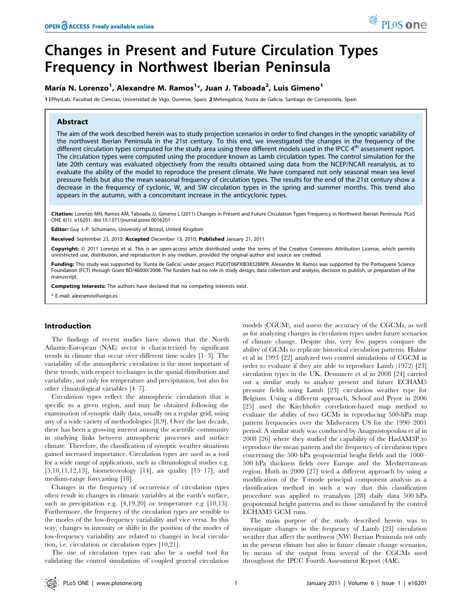# Changes in Present and Future Circulation Types Frequency in Northwest Iberian Peninsula

# María N. Lorenzo<sup>1</sup>, Alexandre M. Ramos<sup>1</sup>\*, Juan J. Taboada<sup>2</sup>, Luis Gimeno<sup>1</sup>

1 EPhysLab, Facultad de Ciencias, Universidad de Vigo, Ourense, Spain, 2 Meteogalicia, Xunta de Galicia, Santiago de Compostela, Spain

# Abstract

The aim of the work described herein was to study projection scenarios in order to find changes in the synoptic variability of the northwest Iberian Peninsula in the 21st century. To this end, we investigated the changes in the frequency of the different circulation types computed for the study area using three different models used in the IPCC 4<sup>th</sup> assessment report. The circulation types were computed using the procedure known as Lamb circulation types. The control simulation for the late 20th century was evaluated objectively from the results obtained using data from the NCEP/NCAR reanalysis, as to evaluate the ability of the model to reproduce the present climate. We have compared not only seasonal mean sea level pressure fields but also the mean seasonal frequency of circulation types. The results for the end of the 21st century show a decrease in the frequency of cyclonic, W, and SW circulation types in the spring and summer months. This trend also appears in the autumn, with a concomitant increase in the anticyclonic types.

Citation: Lorenzo MN, Ramos AM, Taboada JJ, Gimeno L (2011) Changes in Present and Future Circulation Types Frequency in Northwest Iberian Peninsula. PLoS ONE 6(1): e16201. doi:10.1371/journal.pone.0016201

Editor: Guy J.-P. Schumann, University of Bristol, United Kingdom

Received September 23, 2010; Accepted December 13, 2010; Published January 21, 2011

Copyright: © 2011 Lorenzo et al. This is an open-access article distributed under the terms of the Creative Commons Attribution License, which permits unrestricted use, distribution, and reproduction in any medium, provided the original author and source are credited.

Funding: This study was supported by 'Xunta de Galicia' under project PGIDIT06PXIB383288PR. Alexandre M. Ramos was supported by the Portuguese Science Foundation (FCT) through Grant BD/46000/2008. The funders had no role in study design, data collection and analysis, decision to publish, or preparation of the manuscript.

Competing Interests: The authors have declared that no competing interests exist.

\* E-mail: alexramos@uvigo.es

#### Introduction

The findings of recent studies have shown that the North Atlantic-European (NAE) sector is characterized by significant trends in climate that occur over different time scales [1–3]. The variability of the atmospheric circulation is the most important of these trends, with respect to changes in the spatial distribution and variability, not only for temperature and precipitation, but also for other climatological variables [4–7].

Circulation types reflect the atmospheric circulation that is specific to a given region, and may be obtained following the examination of synoptic daily data, usually on a regular grid, using any of a wide variety of methodologies [8,9]. Over the last decade, there has been a growing interest among the scientific community in studying links between atmospheric processes and surface climate. Therefore, the classification of synoptic weather situations gained increased importance. Circulation types are used as a tool for a wide range of applications, such as climatological studies e.g. [5,10,11,12,13], biometeorology [14], air quality [15–17], and medium-range forecasting [18].

Changes in the frequency of occurrence of circulation types often result in changes in climatic variables at the earth's surface, such as precipitation e.g. [4,19,20] or temperature e.g [10,13]. Furthermore, the frequency of the circulation types are sensible to the modes of the low-frequency variability and vice versa. In this way, changes in intensity or shifts in the position of the modes of low-frequency variability are related to changes in local circulation, i.e. circulation or circulation types [10,21].

The use of circulation types can also be a useful tool for validating the control simulations of coupled general circulation models (CGCM), and assess the accuracy of the CGCMs, as well as for analyzing changes in circulation types under future scenarios of climate change. Despite this, very few papers compare the ability of GCMs to replicate historical circulation patterns. Hulme et al in 1993 [22] analyzed two control simulations of CGCM in order to evaluate if they are able to reproduce Lamb (1972) [23] circulation types in the UK. Demuzere et al in 2008 [24] carried out a similar study to analyze present and future ECHAM5 pressure fields using Lamb [23] circulation weather type for Belgium. Using a different approach, Schoof and Pryor in 2006 [25] used the Kirchhofer correlation-based map method to evaluate the ability of two GCMs in reproducing 500-hPa map pattern frequencies over the Midwestern US for the 1990–2001 period. A similar study was conducted by Anagnostopoulou et al in 2008 [26] where they studied the capability of the HadAM3P to reproduce the mean pattern and the frequency of circulation types concerning the 500 hPa geopotential height fields and the 1000– 500 hPa thickness fields over Europe and the Mediterranean region. Huth in 2000 [27] tried a different approach by using a modification of the T-mode principal component analysis as a classification method in such a way that this classification procedure was applied to reanalysis [28] daily data 500 hPa geopotential height patterns and to those simulated by the control ECHAM3 GCM runs.

The main purpose of the study described herein was to investigate changes in the frequency of Lamb [23] circulation weather that affect the northwest (NW) Iberian Peninsula not only in the present climate but also in future climate change scenarios, by means of the output from several of the CGCMs used throughout the IPCC Fourth Assessment Report (4AR).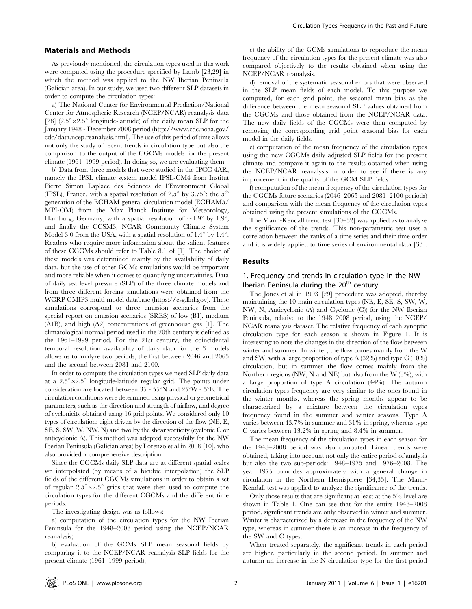#### Materials and Methods

As previously mentioned, the circulation types used in this work were computed using the procedure specified by Lamb [23,29] in which the method was applied to the NW Iberian Peninsula (Galician area). In our study, we used two different SLP datasets in order to compute the circulation types:

a) The National Center for Environmental Prediction/National Center for Atmospheric Research (NCEP/NCAR) reanalysis data [28]  $(2.5^\circ \times 2.5^\circ$  longitude-latitude) of the daily mean SLP for the January 1948 - December 2008 period (http://www.cdc.noaa.gov/ cdc/data.ncep.reanalysis.html). The use of this period of time allows not only the study of recent trends in circulation type but also the comparison to the output of the CGCMs models for the present climate (1961–1999 period). In doing so, we are evaluating them.

b) Data from three models that were studied in the IPCC 4AR, namely the IPSL climate system model IPSL-CM4 from Institut Pierre Simon Laplace des Sciences de l'Environment Global (IPSL), France, with a spatial resolution of 2.5 $\degree$  by 3.75 $\degree$ ; the 5<sup>th</sup> generation of the ECHAM general circulation model (ECHAM5/ MPI-OM) from the Max Planck Institute for Meteorology, Hamburg, Germany, with a spatial resolution of  $\sim 1.9^{\circ}$  by 1.9°, and finally the CCSM3, NCAR Community Climate System Model 3.0 from the USA, with a spatial resolution of  $1.4^{\circ}$  by  $1.4^{\circ}$ . Readers who require more information about the salient features of these CGCMs should refer to Table 8.1 of [1]. The choice of these models was determined mainly by the availability of daily data, but the use of other GCMs simulations would be important and more reliable when it comes to quantifying uncertainties. Data of daily sea level pressure (SLP) of the three climate models and from three different forcing simulations were obtained from the WCRP CMIP3 multi-model database (https://esg.llnl.gov). These simulations correspond to three emission scenarios from the special report on emission scenarios (SRES) of low (B1), medium (A1B), and high (A2) concentrations of greenhouse gas [1]. The climatological normal period used in the 20th century is defined as the 1961–1999 period. For the 21st century, the coincidental temporal resolution availability of daily data for the 3 models allows us to analyze two periods, the first between 2046 and 2065 and the second between 2081 and 2100.

In order to compute the circulation types we need SLP daily data at a  $2.5^{\circ} \times 2.5^{\circ}$  longitude-latitude regular grid. The points under consideration are located between  $35$  -  $55^{\circ}$ N and  $25^{\circ}$ W -  $5^{\circ}$ E. The circulation conditions were determined using physical or geometrical parameters, such as the direction and strength of airflow, and degree of cyclonicity obtained using 16 grid points. We considered only 10 types of circulation: eight driven by the direction of the flow (NE, E, SE, S, SW, W, NW, N) and two by the shear vorticity (cyclonic C or anticyclonic A). This method was adopted successfully for the NW Iberian Peninsula (Galician area) by Lorenzo et al in 2008 [10], who also provided a comprehensive description.

Since the CGCMs daily SLP data are at different spatial scales we interpolated (by means of a bicubic interpolation) the SLP fields of the different CGCMs simulations in order to obtain a set of regular  $2.5^{\circ} \times 2.5^{\circ}$  grids that were then used to compute the circulation types for the different CGCMs and the different time periods.

The investigating design was as follows:

a) computation of the circulation types for the NW Iberian Peninsula for the 1948–2008 period using the NCEP/NCAR reanalysis;

b) evaluation of the GCMs SLP mean seasonal fields by comparing it to the NCEP/NCAR reanalysis SLP fields for the present climate (1961–1999 period);

c) the ability of the GCMs simulations to reproduce the mean frequency of the circulation types for the present climate was also compared objectively to the results obtained when using the NCEP/NCAR reanalysis.

d) removal of the systematic seasonal errors that were observed in the SLP mean fields of each model. To this purpose we computed, for each grid point, the seasonal mean bias as the difference between the mean seasonal SLP values obtained from the CGCMs and those obtained from the NCEP/NCAR data. The new daily fields of the CGCMs were then computed by removing the corresponding grid point seasonal bias for each model in the daily fields.

e) computation of the mean frequency of the circulation types using the new CGCMs daily adjusted SLP fields for the present climate and compare it again to the results obtained when using the NCEP/NCAR reanalysis in order to see if there is any improvement in the quality of the GCM SLP fields.

f) computation of the mean frequency of the circulation types for the CGCMs future scenarios (2046–2065 and 2081–2100 periods) and comparison with the mean frequency of the circulation types obtained using the present simulations of the CGCMs.

The Mann-Kendall trend test [30–32] was applied as to analyze the significance of the trends. This non-parametric test uses a correlation between the ranks of a time series and their time order and it is widely applied to time series of environmental data [33].

#### Results

# 1. Frequency and trends in circulation type in the NW Iberian Peninsula during the 20<sup>th</sup> century

The Jones et al in 1993 [29] procedure was adopted, thereby maintaining the 10 main circulation types (NE, E, SE, S, SW, W, NW, N, Anticyclonic (A) and Cyclonic (C)) for the NW Iberian Peninsula, relative to the 1948–2008 period, using the NCEP/ NCAR reanalysis dataset. The relative frequency of each synoptic circulation type for each season is shown in Figure 1. It is interesting to note the changes in the direction of the flow between winter and summer. In winter, the flow comes mainly from the W and SW, with a large proportion of type A (32%) and type C (10%) circulation, but in summer the flow comes mainly from the Northern regions (NW, N and NE) but also from the W (8%), with a large proportion of type A circulation (44%). The autumn circulation types frequency are very similar to the ones found in the winter months, whereas the spring months appear to be characterized by a mixture between the circulation types frequency found in the summer and winter seasons. Type A varies between 43.7% in summer and 31% in spring, whereas type C varies between 13.2% in spring and 8.4% in summer.

The mean frequency of the circulation types in each season for the 1948–2008 period was also computed. Linear trends were obtained, taking into account not only the entire period of analysis but also the two sub-periods: 1948–1975 and 1976–2008. The year 1975 coincides approximately with a general change in circulation in the Northern Hemisphere [34,35]. The Mann-Kendall test was applied to analyze the significance of the trends.

Only those results that are significant at least at the 5% level are shown in Table 1. One can see that for the entire 1948–2008 period, significant trends are only observed in winter and summer. Winter is characterized by a decrease in the frequency of the NW type, whereas in summer there is an increase in the frequency of the SW and C types.

When treated separately, the significant trends in each period are higher, particularly in the second period. In summer and autumn an increase in the N circulation type for the first period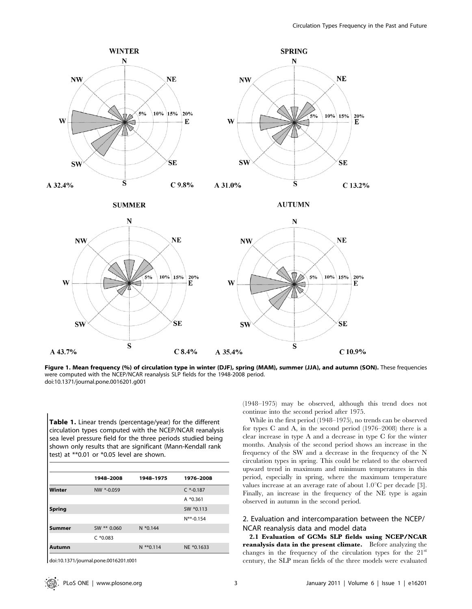

Figure 1. Mean frequency (%) of circulation type in winter (DJF), spring (MAM), summer (JJA), and autumn (SON). These frequencies were computed with the NCEP/NCAR reanalysis SLP fields for the 1948-2008 period. doi:10.1371/journal.pone.0016201.g001

Table 1. Linear trends (percentage/year) for the different circulation types computed with the NCEP/NCAR reanalysis sea level pressure field for the three periods studied being shown only results that are significant (Mann-Kendall rank test) at \*\*0.01 or \*0.05 level are shown.

|        | 1948-2008   | 1948-1975    | 1976-2008   |  |
|--------|-------------|--------------|-------------|--|
| Winter | NW *-0.059  |              | $C$ *-0.187 |  |
|        |             |              | $A * 0.361$ |  |
| Spring |             |              | SW *0.113   |  |
|        |             |              | $N**-0.154$ |  |
| Summer | SW ** 0.060 | $N * 0.144$  |             |  |
|        | $C * 0.083$ |              |             |  |
| Autumn |             | $N$ ** 0.114 | NE *0.1633  |  |
|        |             |              |             |  |

doi:10.1371/journal.pone.0016201.t001

(1948–1975) may be observed, although this trend does not continue into the second period after 1975.

While in the first period (1948–1975), no trends can be observed for types C and A, in the second period (1976–2008) there is a clear increase in type A and a decrease in type C for the winter months. Analysis of the second period shows an increase in the frequency of the SW and a decrease in the frequency of the N circulation types in spring. This could be related to the observed upward trend in maximum and minimum temperatures in this period, especially in spring, where the maximum temperature values increase at an average rate of about  $1.0^{\circ}$ C per decade [3]. Finally, an increase in the frequency of the NE type is again observed in autumn in the second period.

# 2. Evaluation and intercomparation between the NCEP/ NCAR reanalysis data and model data

2.1 Evaluation of GCMs SLP fields using NCEP/NCAR reanalysis data in the present climate. Before analyzing the changes in the frequency of the circulation types for the  $21<sup>st</sup>$ century, the SLP mean fields of the three models were evaluated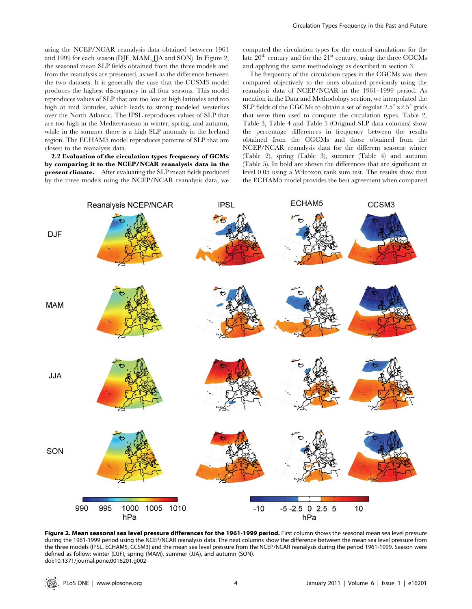using the NCEP/NCAR reanalysis data obtained between 1961 and 1999 for each season (DJF, MAM, JJA and SON). In Figure 2, the seasonal mean SLP fields obtained from the three models and from the reanalysis are presented, as well as the difference between the two datasets. It is generally the case that the CCSM3 model produces the highest discrepancy in all four seasons. This model reproduces values of SLP that are too low at high latitudes and too high at mid latitudes, which leads to strong modeled westerlies over the North Atlantic. The IPSL reproduces values of SLP that are too high in the Mediterranean in winter, spring, and autumn, while in the summer there is a high SLP anomaly in the Iceland region. The ECHAM5 model reproduces patterns of SLP that are closest to the reanalysis data.

2.2 Evaluation of the circulation types frequency of GCMs by comparing it to the NCEP/NCAR reanalysis data in the present climate. After evaluating the SLP mean fields produced by the three models using the NCEP/NCAR reanalysis data, we computed the circulation types for the control simulations for the late  $20<sup>th</sup>$  century and for the  $21<sup>st</sup>$  century, using the three CGCMs and applying the same methodology as described in section 3.

The frequency of the circulation types in the CGCMs was then compared objectively to the ones obtained previously using the reanalysis data of NCEP/NCAR in the 1961–1999 period. As mention in the Data and Methodology section, we interpolated the SLP fields of the CGCMs to obtain a set of regular  $2.5^{\circ} \times 2.5^{\circ}$  grids that were then used to compute the circulation types. Table 2, Table 3, Table 4 and Table 5 (Original SLP data columns) show the percentage differences in frequency between the results obtained from the CGCMs and those obtained from the NCEP/NCAR reanalysis data for the different seasons: winter (Table 2), spring (Table 3), summer (Table 4) and autumn (Table 5). In bold are shown the differences that are significant at level 0.05 using a Wilcoxon rank sum test. The results show that the ECHAM5 model provides the best agreement when compared



Figure 2. Mean seasonal sea level pressure differences for the 1961-1999 period. First column shows the seasonal mean sea level pressure during the 1961-1999 period using the NCEP/NCAR reanalysis data. The next columns show the difference between the mean sea level pressure from the three models (IPSL, ECHAM5, CCSM3) and the mean sea level pressure from the NCEP/NCAR reanalysis during the period 1961-1999. Season were defined as follow: winter (DJF), spring (MAM), summer (JJA), and autumn (SON). doi:10.1371/journal.pone.0016201.g002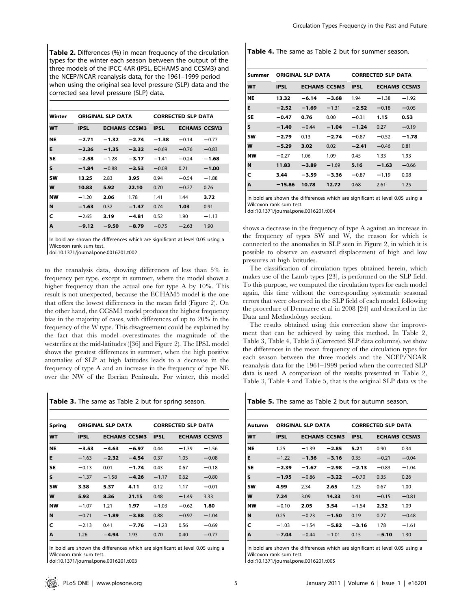**Table 2.** Differences (%) in mean frequency of the circulation types for the winter each season between the output of the three models of the IPCC 4AR (IPSL, ECHAM5 and CCSM3) and the NCEP/NCAR reanalysis data, for the 1961–1999 period when using the original sea level pressure (SLP) data and the corrected sea level pressure (SLP) data.

| Winter    | <b>ORIGINAL SLP DATA</b> |                     |         | <b>CORRECTED SLP DATA</b> |                     |         |
|-----------|--------------------------|---------------------|---------|---------------------------|---------------------|---------|
| <b>WT</b> | <b>IPSL</b>              | <b>ECHAM5 CCSM3</b> |         | <b>IPSL</b>               | <b>ECHAM5 CCSM3</b> |         |
| <b>NE</b> | $-2.71$                  | $-1.32$             | $-2.74$ | $-1.38$                   | $-0.14$             | $-0.77$ |
| Е         | $-2.36$                  | $-1.35$             | $-3.32$ | $-0.69$                   | $-0.76$             | $-0.83$ |
| SE        | $-2.58$                  | $-1.28$             | $-3.17$ | $-1.41$                   | $-0.24$             | $-1.68$ |
| S         | $-1.84$                  | $-0.88$             | $-3.53$ | $-0.08$                   | 0.21                | $-1.00$ |
| <b>SW</b> | 13.25                    | 2.83                | 3.95    | 0.94                      | $-0.54$             | $-1.88$ |
| W         | 10.83                    | 5.92                | 22.10   | 0.70                      | $-0.27$             | 0.76    |
| <b>NW</b> | $-1.20$                  | 2.06                | 1.78    | 1.41                      | 1.44                | 3.72    |
| N         | $-1.63$                  | 0.32                | $-1.47$ | 0.74                      | 1.03                | 0.91    |
| C         | $-2.65$                  | 3.19                | $-4.81$ | 0.52                      | 1.90                | $-1.13$ |
| A         | $-9.12$                  | -9.50               | $-8.79$ | $-0.75$                   | $-2.63$             | 1.90    |

In bold are shown the differences which are significant at level 0.05 using a Wilcoxon rank sum test.

doi:10.1371/journal.pone.0016201.t002

to the reanalysis data, showing differences of less than 5% in frequency per type, except in summer, where the model shows a higher frequency than the actual one for type A by 10%. This result is not unexpected, because the ECHAM5 model is the one that offers the lowest differences in the mean field (Figure 2). On the other hand, the CCSM3 model produces the highest frequency bias in the majority of cases, with differences of up to 20% in the frequency of the W type. This disagreement could be explained by the fact that this model overestimates the magnitude of the westerlies at the mid-latitudes ([36] and Figure 2). The IPSL model shows the greatest differences in summer, when the high positive anomalies of SLP at high latitudes leads to a decrease in the frequency of type A and an increase in the frequency of type NE over the NW of the Iberian Peninsula. For winter, this model

Table 3. The same as Table 2 but for spring season.

| <b>Spring</b> | <b>ORIGINAL SLP DATA</b> |                     |         | <b>CORRECTED SLP DATA</b> |                     |         |
|---------------|--------------------------|---------------------|---------|---------------------------|---------------------|---------|
| <b>WT</b>     | <b>IPSL</b>              | <b>ECHAM5 CCSM3</b> |         | <b>IPSL</b>               | <b>ECHAM5 CCSM3</b> |         |
| <b>NE</b>     | $-3.53$                  | $-4.63$             | $-6.97$ | 0.44                      | $-1.39$             | $-1.56$ |
| Е             | $-1.63$                  | $-2.32$             | $-4.54$ | 0.37                      | 1.05                | $-0.08$ |
| SE            | $-0.13$                  | 0.01                | $-1.74$ | 0.43                      | 0.67                | $-0.18$ |
| S             | $-1.37$                  | $-1.58$             | $-4.26$ | $-1.17$                   | 0.62                | $-0.80$ |
| <b>SW</b>     | 3.38                     | 5.37                | 4.11    | 0.12                      | 1.17                | $-0.01$ |
| W             | 5.93                     | 8.36                | 21.15   | 0.48                      | $-1.49$             | 3.33    |
| <b>NW</b>     | $-1.07$                  | 1.21                | 1.97    | $-1.03$                   | $-0.62$             | 1.80    |
| N             | $-0.71$                  | $-1.89$             | $-3.88$ | 0.88                      | $-0.97$             | $-1.04$ |
| C             | $-2.13$                  | 0.41                | $-7.76$ | $-1.23$                   | 0.56                | $-0.69$ |
| A             | 1.26                     | $-4.94$             | 1.93    | 0.70                      | 0.40                | $-0.77$ |

In bold are shown the differences which are significant at level 0.05 using a Wilcoxon rank sum test.

doi:10.1371/journal.pone.0016201.t003

| <b>Table 4.</b> The same as Table 2 but for summer season. |
|------------------------------------------------------------|
|------------------------------------------------------------|

| Summer    | <b>ORIGINAL SLP DATA</b> |                     |         | <b>CORRECTED SLP DATA</b> |                     |         |
|-----------|--------------------------|---------------------|---------|---------------------------|---------------------|---------|
| WT        | <b>IPSL</b>              | <b>ECHAM5 CCSM3</b> |         | <b>IPSL</b>               | <b>ECHAM5 CCSM3</b> |         |
| <b>NE</b> | 13.32                    | $-6.14$             | $-3.68$ | 1.94                      | $-1.38$             | $-1.92$ |
| Е         | $-2.52$                  | $-1.69$             | $-1.31$ | $-2.52$                   | $-0.18$             | $-0.05$ |
| SE        | $-0.47$                  | 0.76                | 0.00    | $-0.31$                   | 1.15                | 0.53    |
| S         | $-1.40$                  | $-0.44$             | $-1.04$ | $-1.24$                   | 0.27                | $-0.19$ |
| <b>SW</b> | $-2.79$                  | 0.13                | $-2.74$ | $-0.87$                   | $-0.52$             | $-1.78$ |
| W         | $-5.29$                  | 3.02                | 0.02    | $-2.41$                   | $-0.46$             | 0.81    |
| <b>NW</b> | $-0.27$                  | 1.06                | 1.09    | 0.45                      | 1.33                | 1.93    |
| N         | 11.83                    | $-3.89$             | $-1.69$ | 5.16                      | $-1.63$             | $-0.66$ |
| C         | 3.44                     | $-3.59$             | $-3.36$ | $-0.87$                   | $-1.19$             | 0.08    |
| A         | $-15.86$                 | 10.78               | 12.72   | 0.68                      | 2.61                | 1.25    |

In bold are shown the differences which are significant at level 0.05 using a Wilcoxon rank sum test.

doi:10.1371/journal.pone.0016201.t004

shows a decrease in the frequency of type A against an increase in the frequency of types SW and W, the reason for which is connected to the anomalies in SLP seen in Figure 2, in which it is possible to observe an eastward displacement of high and low pressures at high latitudes.

The classification of circulation types obtained herein, which makes use of the Lamb types [23], is performed on the SLP field. To this purpose, we computed the circulation types for each model again, this time without the corresponding systematic seasonal errors that were observed in the SLP field of each model, following the procedure of Demuzere et al in 2008 [24] and described in the Data and Methodology section.

The results obtained using this correction show the improvement that can be achieved by using this method. In Table 2, Table 3, Table 4, Table 5 (Corrected SLP data columns), we show the differences in the mean frequency of the circulation types for each season between the three models and the NCEP/NCAR reanalysis data for the 1961–1999 period when the corrected SLP data is used. A comparison of the results presented in Table 2, Table 3, Table 4 and Table 5, that is the original SLP data vs the

Table 5. The same as Table 2 but for autumn season.

| Autumn    | <b>ORIGINAL SLP DATA</b> |                     |         | <b>CORRECTED SLP DATA</b> |         |                     |
|-----------|--------------------------|---------------------|---------|---------------------------|---------|---------------------|
| WT        | <b>IPSL</b>              | <b>ECHAM5 CCSM3</b> |         | <b>IPSL</b>               |         | <b>ECHAM5 CCSM3</b> |
| <b>NE</b> | 1.25                     | $-1.39$             | $-2.85$ | 5.21                      | 0.90    | 0.34                |
| Е         | $-1.22$                  | $-1.36$             | $-3.16$ | 0.35                      | $-0.21$ | $-0.04$             |
| <b>SE</b> | $-2.39$                  | $-1.67$             | $-2.98$ | $-2.13$                   | $-0.83$ | $-1.04$             |
| S         | $-1.95$                  | $-0.86$             | $-3.22$ | $-0.70$                   | 0.35    | 0.26                |
| <b>SW</b> | 4.99                     | 2.34                | 2.65    | 1.23                      | 0.67    | 1.00                |
| W         | 7.24                     | 3.09                | 14.33   | 0.41                      | $-0.15$ | $-0.81$             |
| <b>NW</b> | $-0.10$                  | 2.05                | 3.54    | $-1.54$                   | 2.32    | 1.09                |
| N         | 0.25                     | $-0.23$             | $-1.50$ | 0.19                      | 0.27    | $-0.48$             |
| c         | $-1.03$                  | $-1.54$             | $-5.82$ | $-3.16$                   | 1.78    | $-1.61$             |
| A         | $-7.04$                  | $-0.44$             | $-1.01$ | 0.15                      | $-5.10$ | 1.30                |

In bold are shown the differences which are significant at level 0.05 using a Wilcoxon rank sum test.

doi:10.1371/journal.pone.0016201.t005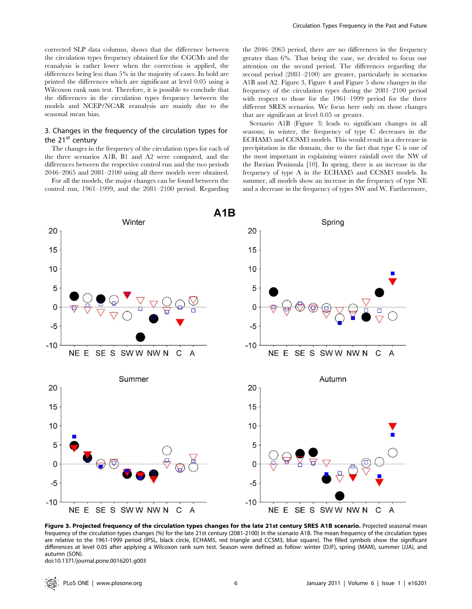corrected SLP data columns, shows that the difference between the circulation types frequency obtained for the CGCMs and the reanalysis is rather lower when the correction is applied, the differences being less than 5% in the majority of cases. In bold are printed the differences which are significant at level 0.05 using a Wilcoxon rank sum test. Therefore, it is possible to conclude that the differences in the circulation types frequency between the models and NCEP/NCAR reanalysis are mainly due to the seasonal mean bias.

# 3. Changes in the frequency of the circulation types for the  $21<sup>st</sup>$  century

The changes in the frequency of the circulation types for each of the three scenarios A1B, B1 and A2 were computed, and the differences between the respective control run and the two periods 2046–2065 and 2081–2100 using all three models were obtained.

For all the models, the major changes can be found between the control run, 1961–1999, and the 2081–2100 period. Regarding the 2046–2065 period, there are no differences in the frequency greater than 6%. That being the case, we decided to focus our attention on the second period. The differences regarding the second period (2081–2100) are greater, particularly in scenarios A1B and A2. Figure 3, Figure 4 and Figure 5 show changes in the frequency of the circulation types during the 2081–2100 period with respect to those for the 1961–1999 period for the three different SRES scenarios. We focus here only on those changes that are significant at level 0.05 or greater.

Scenario A1B (Figure 3) leads to significant changes in all seasons; in winter, the frequency of type C decreases in the ECHAM5 and CCSM3 models. This would result in a decrease in precipitation in the domain, due to the fact that type C is one of the most important in explaining winter rainfall over the NW of the Iberian Peninsula [10]. In spring, there is an increase in the frequency of type A in the ECHAM5 and CCSM3 models. In summer, all models show an increase in the frequency of type NE and a decrease in the frequency of types SW and W. Furthermore,



Figure 3. Projected frequency of the circulation types changes for the late 21st century SRES A1B scenario. Projected seasonal mean frequency of the circulation types changes (%) for the late 21st century (2081-2100) in the scenario A1B. The mean frequency of the circulation types are relative to the 1961-1999 period (IPSL, black circle, ECHAM5, red triangle and CCSM3, blue square). The filled symbols show the significant differences at level 0.05 after applying a Wilcoxon rank sum test. Season were defined as follow: winter (DJF), spring (MAM), summer (JJA), and autumn (SON).

doi:10.1371/journal.pone.0016201.g003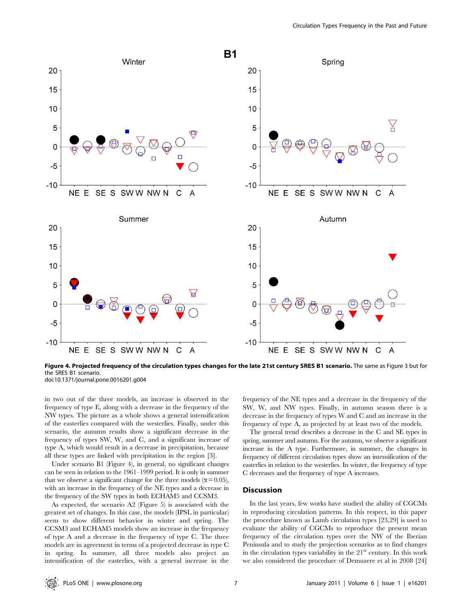

Figure 4. Projected frequency of the circulation types changes for the late 21st century SRES B1 scenario. The same as Figure 3 but for the SRES B1 scenario. doi:10.1371/journal.pone.0016201.g004

in two out of the three models, an increase is observed in the frequency of type E, along with a decrease in the frequency of the NW types. The picture as a whole shows a general intensification of the easterlies compared with the westerlies. Finally, under this

scenario, the autumn results show a significant decrease in the frequency of types SW, W, and C, and a significant increase of type A, which would result in a decrease in precipitation, because all these types are linked with precipitation in the region [3].

Under scenario B1 (Figure 4), in general, no significant changes can be seen in relation to the 1961–1999 period. It is only in summer that we observe a significant change for the three models ( $\alpha$  = 0.05), with an increase in the frequency of the NE types and a decrease in the frequency of the SW types in both ECHAM5 and CCSM3.

As expected, the scenario A2 (Figure 5) is associated with the greatest set of changes. In this case, the models (IPSL in particular) seem to show different behavior in winter and spring. The CCSM3 and ECHAM5 models show an increase in the frequency of type A and a decrease in the frequency of type C. The three models are in agreement in terms of a projected decrease in type C in spring. In summer, all three models also project an intensification of the easterlies, with a general increase in the frequency of the NE types and a decrease in the frequency of the SW, W, and NW types. Finally, in autumn season there is a decrease in the frequency of types W and C and an increase in the frequency of type A, as projected by at least two of the models.

The general trend describes a decrease in the C and SE types in spring, summer and autumn. For the autumn, we observe a significant increase in the A type. Furthermore, in summer, the changes in frequency of different circulation types show an intensification of the easterlies in relation to the westerlies. In winter, the frequency of type C decreases and the frequency of type A increases.

#### **Discussion**

In the last years, few works have studied the ability of CGCMs in reproducing circulation patterns. In this respect, in this paper the procedure known as Lamb circulation types [23,29] is used to evaluate the ability of CGCMs to reproduce the present mean frequency of the circulation types over the NW of the Iberian Peninsula and to study the projection scenarios as to find changes in the circulation types variability in the  $21<sup>st</sup>$  century. In this work we also considered the procedure of Demuzere et al in 2008 [24]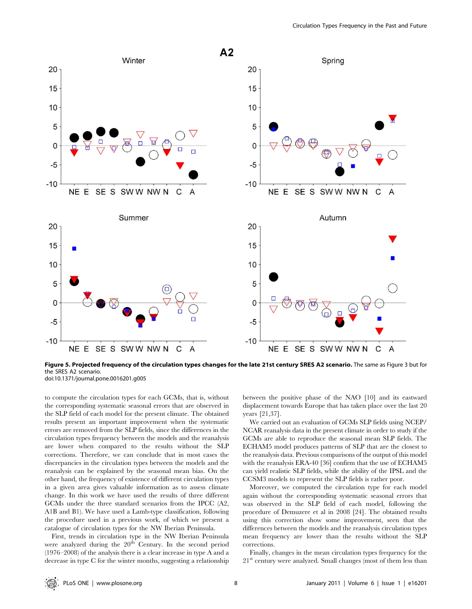

Figure 5. Projected frequency of the circulation types changes for the late 21st century SRES A2 scenario. The same as Figure 3 but for the SRES A2 scenario. doi:10.1371/journal.pone.0016201.g005

to compute the circulation types for each GCMs, that is, without the corresponding systematic seasonal errors that are observed in the SLP field of each model for the present climate. The obtained results present an important improvement when the systematic errors are removed from the SLP fields, since the differences in the circulation types frequency between the models and the reanalysis are lower when compared to the results without the SLP corrections. Therefore, we can conclude that in most cases the discrepancies in the circulation types between the models and the reanalysis can be explained by the seasonal mean bias. On the other hand, the frequency of existence of different circulation types in a given area gives valuable information as to assess climate change. In this work we have used the results of three different GCMs under the three standard scenarios from the IPCC (A2, A1B and B1). We have used a Lamb-type classification, following the procedure used in a previous work, of which we present a catalogue of circulation types for the NW Iberian Peninsula.

First, trends in circulation type in the NW Iberian Peninsula were analyzed during the 20<sup>th</sup> Century. In the second period (1976–2008) of the analysis there is a clear increase in type A and a decrease in type C for the winter months, suggesting a relationship between the positive phase of the NAO [10] and its eastward displacement towards Europe that has taken place over the last 20 years [21,37].

We carried out an evaluation of GCMs SLP fields using NCEP/ NCAR reanalysis data in the present climate in order to study if the GCMs are able to reproduce the seasonal mean SLP fields. The ECHAM5 model produces patterns of SLP that are the closest to the reanalysis data. Previous comparisons of the output of this model with the reanalysis ERA-40 [36] confirm that the use of ECHAM5 can yield realistic SLP fields, while the ability of the IPSL and the CCSM3 models to represent the SLP fields is rather poor.

Moreover, we computed the circulation type for each model again without the corresponding systematic seasonal errors that was observed in the SLP field of each model, following the procedure of Demuzere et al in 2008 [24]. The obtained results using this correction show some improvement, seen that the differences between the models and the reanalysis circulation types mean frequency are lower than the results without the SLP corrections.

Finally, changes in the mean circulation types frequency for the  $21<sup>st</sup>$  century were analyzed. Small changes (most of them less than